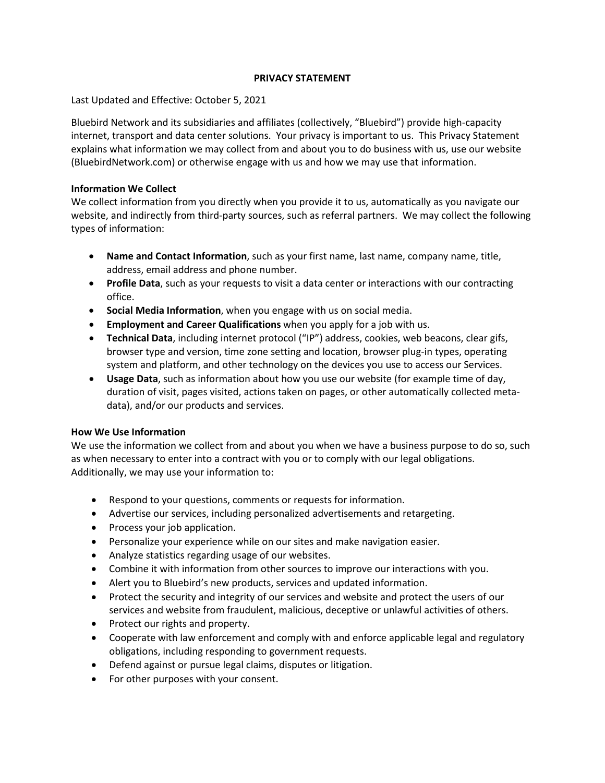# **PRIVACY STATEMENT**

Last Updated and Effective: October 5, 2021

Bluebird Network and its subsidiaries and affiliates (collectively, "Bluebird") provide high-capacity internet, transport and data center solutions. Your privacy is important to us. This Privacy Statement explains what information we may collect from and about you to do business with us, use our website (BluebirdNetwork.com) or otherwise engage with us and how we may use that information.

# **Information We Collect**

We collect information from you directly when you provide it to us, automatically as you navigate our website, and indirectly from third-party sources, such as referral partners. We may collect the following types of information:

- **Name and Contact Information**, such as your first name, last name, company name, title, address, email address and phone number.
- **Profile Data**, such as your requests to visit a data center or interactions with our contracting office.
- **Social Media Information**, when you engage with us on social media.
- **Employment and Career Qualifications** when you apply for a job with us.
- **Technical Data**, including internet protocol ("IP") address, cookies, web beacons, clear gifs, browser type and version, time zone setting and location, browser plug-in types, operating system and platform, and other technology on the devices you use to access our Services.
- **Usage Data**, such as information about how you use our website (for example time of day, duration of visit, pages visited, actions taken on pages, or other automatically collected metadata), and/or our products and services.

# **How We Use Information**

We use the information we collect from and about you when we have a business purpose to do so, such as when necessary to enter into a contract with you or to comply with our legal obligations. Additionally, we may use your information to:

- Respond to your questions, comments or requests for information.
- Advertise our services, including personalized advertisements and retargeting.
- Process your job application.
- Personalize your experience while on our sites and make navigation easier.
- Analyze statistics regarding usage of our websites.
- Combine it with information from other sources to improve our interactions with you.
- Alert you to Bluebird's new products, services and updated information.
- Protect the security and integrity of our services and website and protect the users of our services and website from fraudulent, malicious, deceptive or unlawful activities of others.
- Protect our rights and property.
- Cooperate with law enforcement and comply with and enforce applicable legal and regulatory obligations, including responding to government requests.
- Defend against or pursue legal claims, disputes or litigation.
- For other purposes with your consent.